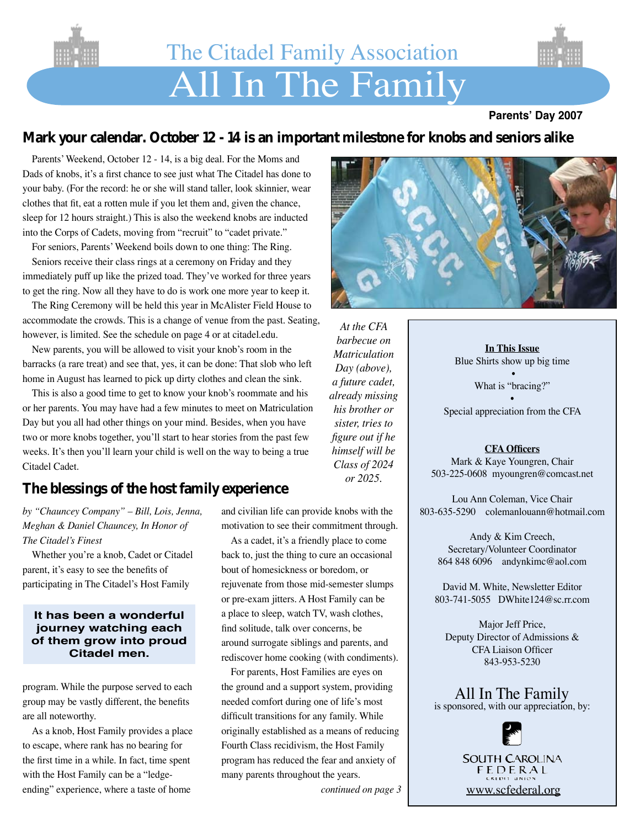

# All In The Family The Citadel Family Association



## **Mark your calendar. October 12 - 14 is an important milestone for knobs and seniors alike**

 Parents'Weekend, October 12 - 14, is a big deal. For the Moms and Dads of knobs, it's a first chance to see just what The Citadel has done to your baby. (For the record: he or she will stand taller, look skinnier, wear clothes that fit, eat a rotten mule if you let them and, given the chance, sleep for 12 hours straight.) This is also the weekend knobs are inducted into the Corps of Cadets, moving from "recruit" to "cadet private."

For seniors, Parents' Weekend boils down to one thing: The Ring. Seniors receive their class rings at a ceremony on Friday and they immediately puff up like the prized toad. They've worked for three years to get the ring. Now all they have to do is work one more year to keep it.

The Ring Ceremony will be held this year in McAlister Field House to accommodate the crowds. This is a change of venue from the past. Seating, however, is limited. See the schedule on page 4 or at citadel.edu.

New parents, you will be allowed to visit your knob's room in the barracks (a rare treat) and see that, yes, it can be done: That slob who left home in August has learned to pick up dirty clothes and clean the sink.

This is also a good time to get to know your knob's roommate and his or her parents. You may have had a few minutes to meet on Matriculation Day but you all had other things on your mind. Besides, when you have two or more knobs together, you'll start to hear stories from the past few weeks. It's then you'll learn your child is well on the way to being a true Citadel Cadet.

# **The blessings of the host family experience**

*by "Chauncey Company" – Bill, Lois, Jenna, Meghan & Daniel Chauncey, In Honor of The Citadel's Finest*

Whether you're a knob, Cadet or Citadel parent, it's easy to see the benefits of participating in The Citadel's Host Family

## **It has been a wonderful journey watching each of them grow into proud Citadel men.**

program. While the purpose served to each group may be vastly different, the benefits are all noteworthy.

As a knob, Host Family provides a place to escape, where rank has no bearing for the first time in a while. In fact, time spent with the Host Family can be a "ledgeending" experience, where a taste of home

and civilian life can provide knobs with the motivation to see their commitment through.

As a cadet, it's a friendly place to come back to, just the thing to cure an occasional bout of homesickness or boredom, or rejuvenate from those mid-semester slumps or pre-exam jitters. A Host Family can be a place to sleep, watch TV, wash clothes, find solitude, talk over concerns, be around surrogate siblings and parents, and rediscover home cooking (with condiments).

For parents, Host Families are eyes on the ground and a support system, providing needed comfort during one of life's most difficult transitions for any family. While originally established as a means of reducing Fourth Class recidivism, the Host Family program has reduced the fear and anxiety of many parents throughout the years.

*continued on page 3*



*At the CFA barbecue on Matriculation Day (above), a future cadet, already missing his brother or sister, tries to figure out if he himself will be Class of 2024 or 2025.*

**In This Issue** Blue Shirts show up big time

> • What is "bracing?"

• Special appreciation from the CFA

## **CFA Officers**

Mark & Kaye Youngren, Chair 503-225-0608 myoungren@comcast.net

Lou Ann Coleman, Vice Chair 803-635-5290 colemanlouann@hotmail.com

Andy & Kim Creech, Secretary/Volunteer Coordinator 864 848 6096 andynkimc@aol.com

David M. White, Newsletter Editor 803-741-5055 DWhite124@sc.rr.com

Major Jeff Price, Deputy Director of Admissions & CFA Liaison Officer 843-953-5230



**SOUTH CAROLINA** FEDERAL www.scfederal.org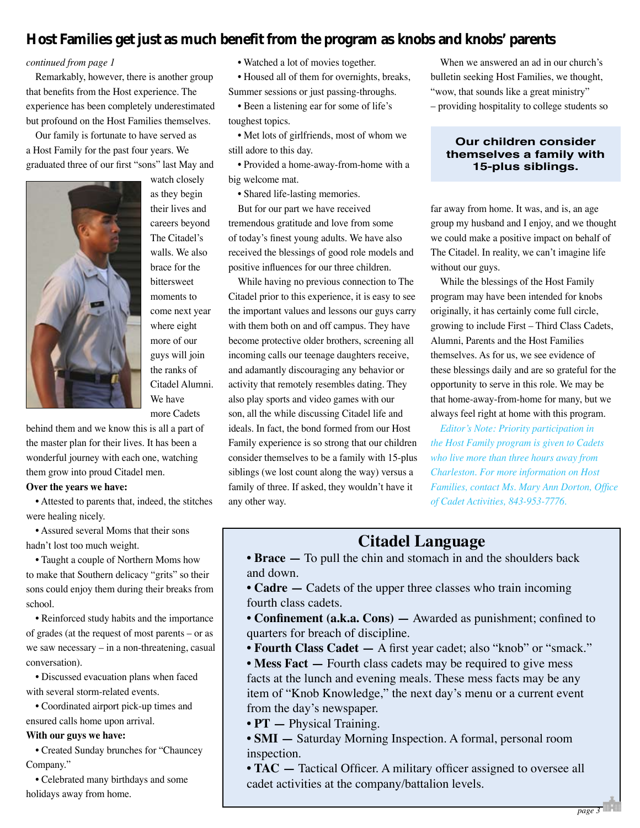# **Host Families get just as much benefit from the program as knobs and knobs' parents**

#### *continued from page 1*

Remarkably, however, there is another group that benefits from the Host experience. The experience has been completely underestimated but profound on the Host Families themselves.

Our family is fortunate to have served as a Host Family for the past four years. We graduated three of our first "sons" last May and



watch closely as they begin their lives and careers beyond The Citadel's walls. We also brace for the bittersweet moments to come next year where eight more of our guys will join the ranks of Citadel Alumni. We have more Cadets

behind them and we know this is all a part of the master plan for their lives. It has been a wonderful journey with each one, watching them grow into proud Citadel men.

#### **Over the years we have:**

• Attested to parents that, indeed, the stitches were healing nicely.

• Assured several Moms that their sons hadn't lost too much weight.

• Taught a couple of Northern Moms how to make that Southern delicacy "grits" so their sons could enjoy them during their breaks from school.

• Reinforced study habits and the importance of grades (at the request of most parents – or as we saw necessary – in a non-threatening, casual conversation).

• Discussed evacuation plans when faced with several storm-related events.

• Coordinated airport pick-up times and

ensured calls home upon arrival.

#### **With our guys we have:**

• Created Sunday brunches for "Chauncey Company."

• Celebrated many birthdays and some holidays away from home.

• Watched a lot of movies together.

• Housed all of them for overnights, breaks, Summer sessions or just passing-throughs.

• Been a listening ear for some of life's toughest topics.

• Met lots of girlfriends, most of whom we still adore to this day.

• Provided a home-away-from-home with a big welcome mat.

 • Shared life-lasting memories.

But for our part we have received tremendous gratitude and love from some of today's finest young adults. We have also received the blessings of good role models and positive influences for our three children.

While having no previous connection to The Citadel prior to this experience, it is easy to see the important values and lessons our guys carry with them both on and off campus. They have become protective older brothers, screening all incoming calls our teenage daughters receive, and adamantly discouraging any behavior or activity that remotely resembles dating. They also play sports and video games with our son, all the while discussing Citadel life and ideals. In fact, the bond formed from our Host Family experience is so strong that our children consider themselves to be a family with 15-plus siblings (we lost count along the way) versus a family of three. If asked, they wouldn't have it any other way.

When we answered an ad in our church's bulletin seeking Host Families, we thought, "wow, that sounds like a great ministry" – providing hospitality to college students so

## **Our children consider themselves a family with 15-plus siblings.**

far away from home. It was, and is, an age group my husband and I enjoy, and we thought we could make a positive impact on behalf of The Citadel. In reality, we can't imagine life without our guys.

While the blessings of the Host Family program may have been intended for knobs originally, it has certainly come full circle, growing to include First – Third Class Cadets, Alumni, Parents and the Host Families themselves. As for us, we see evidence of these blessings daily and are so grateful for the opportunity to serve in this role. We may be that home-away-from-home for many, but we always feel right at home with this program.

*Editor's Note: Priority participation in the Host Family program is given to Cadets who live more than three hours away from Charleston. For more information on Host Families, contact Ms. Mary Ann Dorton, Office of Cadet Activities, 843-953-7776.*

## **Citadel Language**

• **Brace** — To pull the chin and stomach in and the shoulders back and down.

• **Cadre** — Cadets of the upper three classes who train incoming fourth class cadets.

• **Confinement (a.k.a. Cons)** — Awarded as punishment; confined to quarters for breach of discipline.

**• Fourth Class Cadet —** A first year cadet; also "knob" or "smack."

• **Mess Fact** — Fourth class cadets may be required to give mess facts at the lunch and evening meals. These mess facts may be any item of "Knob Knowledge," the next day's menu or a current event from the day's newspaper.

**• PT —** Physical Training.

• **SMI** — Saturday Morning Inspection. A formal, personal room inspection.

• **TAC** — Tactical Officer. A military officer assigned to oversee all cadet activities at the company/battalion levels.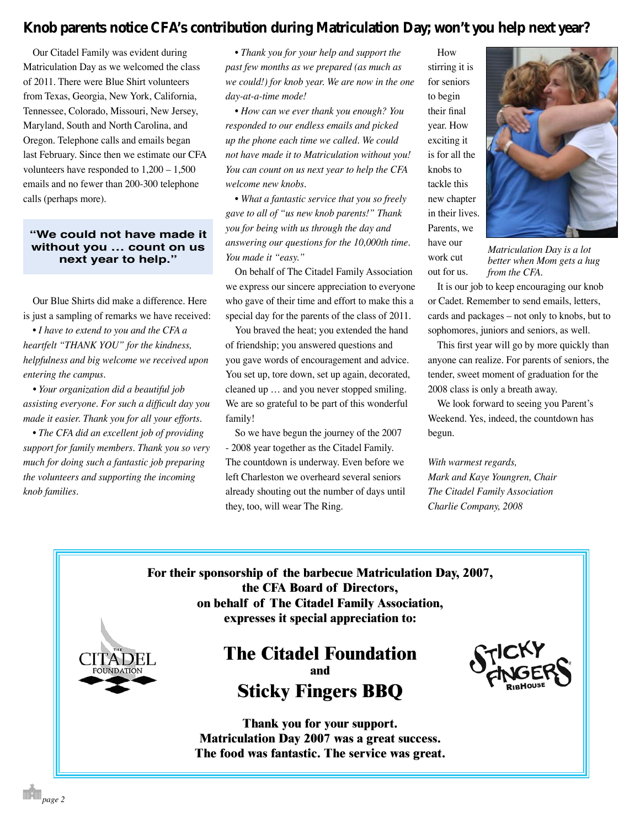# **Knob parents notice CFA's contribution during Matriculation Day; won't you help next year?**

Our Citadel Family was evident during Matriculation Day as we welcomed the class of 2011. There were Blue Shirt volunteers from Texas, Georgia, New York, California, Tennessee, Colorado, Missouri, New Jersey, Maryland, South and North Carolina, and Oregon. Telephone calls and emails began last February. Since then we estimate our CFA volunteers have responded to 1,200 – 1,500 emails and no fewer than 200-300 telephone calls (perhaps more).

## **"We could not have made it without you … count on us next year to help."**

Our Blue Shirts did make a difference. Here is just a sampling of remarks we have received:

 • *I have to extend to you and the CFA a heartfelt "THANK YOU" for the kindness, helpfulness and big welcome we received upon entering the campus.* 

*• Your organization did a beautiful job assisting everyone. For such a difficult day you made it easier. Thank you for all your efforts.*

 • *The CFA did an excellent job of providing support for family members. Thank you so very much for doing such a fantastic job preparing the volunteers and supporting the incoming knob families.* 

 • *Thank you for your help and support the past few months as we prepared (as much as we could!) for knob year. We are now in the one day-at-a-time mode!* 

 • *How can we ever thank you enough? You responded to our endless emails and picked up the phone each time we called. We could not have made it to Matriculation without you! You can count on us next year to help the CFA welcome new knobs.*

 • *What a fantastic service that you so freely gave to all of "us new knob parents!" Thank you for being with us through the day and answering our questions for the 10,000th time. You made it "easy."*

On behalf of The Citadel Family Association we express our sincere appreciation to everyone who gave of their time and effort to make this a special day for the parents of the class of 2011.

You braved the heat; you extended the hand of friendship; you answered questions and you gave words of encouragement and advice. You set up, tore down, set up again, decorated, cleaned up … and you never stopped smiling. We are so grateful to be part of this wonderful family!

So we have begun the journey of the 2007 - 2008 year together as the Citadel Family. The countdown is underway. Even before we left Charleston we overheard several seniors already shouting out the number of days until they, too, will wear The Ring.

stirring it is for seniors to begin their final year. How exciting it is for all the knobs to tackle this new chapter in their lives. Parents, we have our work cut out for us.

How



*Matriculation Day is a lot better when Mom gets a hug from the CFA.*

It is our job to keep encouraging our knob or Cadet. Remember to send emails, letters, cards and packages – not only to knobs, but to sophomores, juniors and seniors, as well.

This first year will go by more quickly than anyone can realize. For parents of seniors, the tender, sweet moment of graduation for the 2008 class is only a breath away.

We look forward to seeing you Parent's Weekend. Yes, indeed, the countdown has begun.

*With warmest regards, Mark and Kaye Youngren, Chair The Citadel Family Association Charlie Company, 2008*

**For their sponsorship of the barbecue Matriculation Day, 2007, the CFA Board of Directors, on behalf of The Citadel Family Association, expresses it special appreciation to:**





**Thank you for your support. Matriculation Day 2007 was a great success. The food was fantastic. The service was great.**

*page 2*